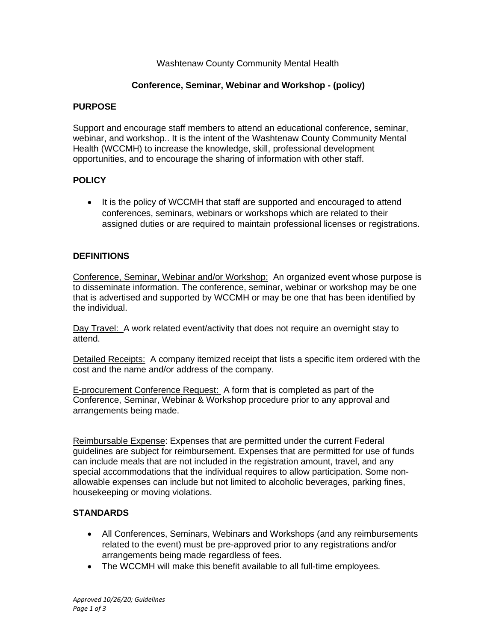### Washtenaw County Community Mental Health

# **Conference, Seminar, Webinar and Workshop - (policy)**

### **PURPOSE**

Support and encourage staff members to attend an educational conference, seminar, webinar, and workshop.. It is the intent of the Washtenaw County Community Mental Health (WCCMH) to increase the knowledge, skill, professional development opportunities, and to encourage the sharing of information with other staff.

# **POLICY**

• It is the policy of WCCMH that staff are supported and encouraged to attend conferences, seminars, webinars or workshops which are related to their assigned duties or are required to maintain professional licenses or registrations.

# **DEFINITIONS**

Conference, Seminar, Webinar and/or Workshop: An organized event whose purpose is to disseminate information. The conference, seminar, webinar or workshop may be one that is advertised and supported by WCCMH or may be one that has been identified by the individual.

Day Travel: A work related event/activity that does not require an overnight stay to attend.

Detailed Receipts: A company itemized receipt that lists a specific item ordered with the cost and the name and/or address of the company.

E-procurement Conference Request: A form that is completed as part of the Conference, Seminar, Webinar & Workshop procedure prior to any approval and arrangements being made.

Reimbursable Expense: Expenses that are permitted under the current Federal guidelines are subject for reimbursement. Expenses that are permitted for use of funds can include meals that are not included in the registration amount, travel, and any special accommodations that the individual requires to allow participation. Some nonallowable expenses can include but not limited to alcoholic beverages, parking fines, housekeeping or moving violations.

#### **STANDARDS**

- All Conferences, Seminars, Webinars and Workshops (and any reimbursements related to the event) must be pre-approved prior to any registrations and/or arrangements being made regardless of fees.
- The WCCMH will make this benefit available to all full-time employees.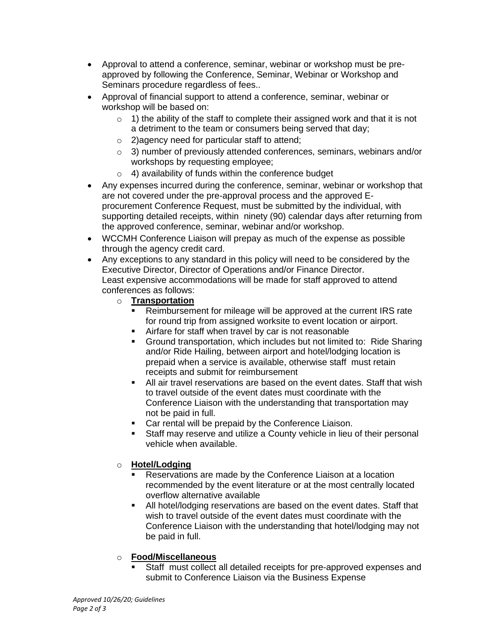- Approval to attend a conference, seminar, webinar or workshop must be preapproved by following the Conference, Seminar, Webinar or Workshop and Seminars procedure regardless of fees..
- Approval of financial support to attend a conference, seminar, webinar or workshop will be based on:
	- $\circ$  1) the ability of the staff to complete their assigned work and that it is not a detriment to the team or consumers being served that day;
	- o 2)agency need for particular staff to attend;
	- $\circ$  3) number of previously attended conferences, seminars, webinars and/or workshops by requesting employee;
	- $\circ$  4) availability of funds within the conference budget
- Any expenses incurred during the conference, seminar, webinar or workshop that are not covered under the pre-approval process and the approved Eprocurement Conference Request, must be submitted by the individual, with supporting detailed receipts, within ninety (90) calendar days after returning from the approved conference, seminar, webinar and/or workshop.
- WCCMH Conference Liaison will prepay as much of the expense as possible through the agency credit card.
- Any exceptions to any standard in this policy will need to be considered by the Executive Director, Director of Operations and/or Finance Director. Least expensive accommodations will be made for staff approved to attend conferences as follows:
	- o **Transportation**
		- Reimbursement for mileage will be approved at the current IRS rate for round trip from assigned worksite to event location or airport.
		- Airfare for staff when travel by car is not reasonable
		- Ground transportation, which includes but not limited to: Ride Sharing and/or Ride Hailing, between airport and hotel/lodging location is prepaid when a service is available, otherwise staff must retain receipts and submit for reimbursement
		- All air travel reservations are based on the event dates. Staff that wish to travel outside of the event dates must coordinate with the Conference Liaison with the understanding that transportation may not be paid in full.
		- Car rental will be prepaid by the Conference Liaison.
		- Staff may reserve and utilize a County vehicle in lieu of their personal vehicle when available.

#### o **Hotel/Lodging**

- Reservations are made by the Conference Liaison at a location recommended by the event literature or at the most centrally located overflow alternative available
- All hotel/lodging reservations are based on the event dates. Staff that wish to travel outside of the event dates must coordinate with the Conference Liaison with the understanding that hotel/lodging may not be paid in full.

#### o **Food/Miscellaneous**

Staff must collect all detailed receipts for pre-approved expenses and submit to Conference Liaison via the Business Expense